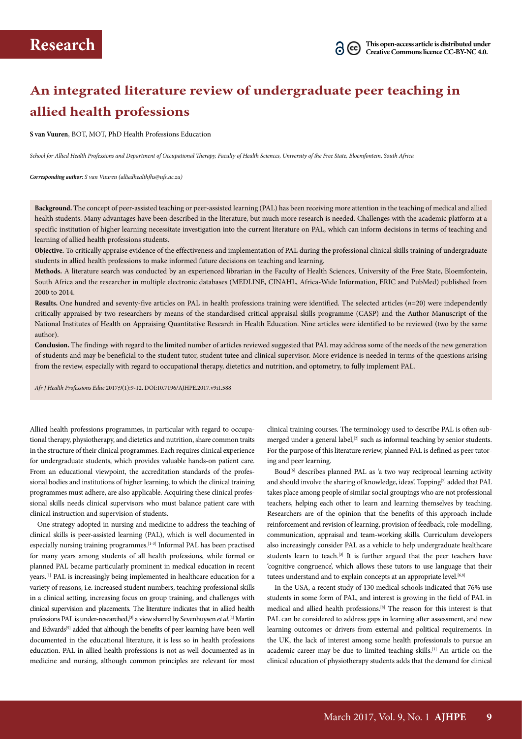# **An integrated literature review of undergraduate peer teaching in allied health professions**

**S van Vuuren**, BOT, MOT, PhD Health Professions Education

*School for Allied Health Professions and Department of Occupational Therapy, Faculty of Health Sciences, University of the Free State, Bloemfontein, South Africa*

*Corresponding author: S van Vuuren (alliedhealthfhs@ufs.ac.za)*

**Background.** The concept of peer-assisted teaching or peer-assisted learning (PAL) has been receiving more attention in the teaching of medical and allied health students. Many advantages have been described in the literature, but much more research is needed. Challenges with the academic platform at a specific institution of higher learning necessitate investigation into the current literature on PAL, which can inform decisions in terms of teaching and learning of allied health professions students.

**Objective.** To critically appraise evidence of the effectiveness and implementation of PAL during the professional clinical skills training of undergraduate students in allied health professions to make informed future decisions on teaching and learning.

**Methods.** A literature search was conducted by an experienced librarian in the Faculty of Health Sciences, University of the Free State, Bloemfontein, South Africa and the researcher in multiple electronic databases (MEDLINE, CINAHL, Africa-Wide Information, ERIC and PubMed) published from 2000 to 2014.

**Results.** One hundred and seventy-five articles on PAL in health professions training were identified. The selected articles (*n*=20) were independently critically appraised by two researchers by means of the standardised critical appraisal skills programme (CASP) and the Author Manuscript of the National Institutes of Health on Appraising Quantitative Research in Health Education. Nine articles were identified to be reviewed (two by the same author).

**Conclusion.** The findings with regard to the limited number of articles reviewed suggested that PAL may address some of the needs of the new generation of students and may be beneficial to the student tutor, student tutee and clinical supervisor. More evidence is needed in terms of the questions arising from the review, especially with regard to occupational therapy, dietetics and nutrition, and optometry, to fully implement PAL.

*Afr J Health Professions Educ* 2017;9(1):9-12. DOI:10.7196/AJHPE.2017.v9i1.588

Allied health professions programmes, in particular with regard to occupational therapy, physiotherapy, and dietetics and nutrition, share common traits in the structure of their clinical programmes. Each requires clinical experience for undergraduate students, which provides valuable hands-on patient care. From an educational viewpoint, the accreditation standards of the professional bodies and institutions of higher learning, to which the clinical training programmes must adhere, are also applicable. Acquiring these clinical professional skills needs clinical supervisors who must balance patient care with clinical instruction and supervision of students.

One strategy adopted in nursing and medicine to address the teaching of clinical skills is peer-assisted learning (PAL), which is well documented in especially nursing training programmes.[1-3] Informal PAL has been practised for many years among students of all health professions, while formal or planned PAL became particularly prominent in medical education in recent years.[1] PAL is increasingly being implemented in healthcare education for a variety of reasons, i.e. increased student numbers, teaching professional skills in a clinical setting, increasing focus on group training, and challenges with clinical supervision and placements. The literature indicates that in allied health professions PAL is under-researched,<sup>[3]</sup> a view shared by Sevenhuysen *et al.*<sup>[4]</sup> Martin and Edwards<sup>[5]</sup> added that although the benefits of peer learning have been well documented in the educational literature, it is less so in health professions education. PAL in allied health professions is not as well documented as in medicine and nursing, although common principles are relevant for most

clinical training courses. The terminology used to describe PAL is often submerged under a general label,<sup>[2]</sup> such as informal teaching by senior students. For the purpose of this literature review, planned PAL is defined as peer tutoring and peer learning.

Boud<sup>[6]</sup> describes planned PAL as 'a two way reciprocal learning activity and should involve the sharing of knowledge, ideas'. Topping<sup>[7]</sup> added that PAL takes place among people of similar social groupings who are not professional teachers, helping each other to learn and learning themselves by teaching. Researchers are of the opinion that the benefits of this approach include reinforcement and revision of learning, provision of feedback, role-modelling, communication, appraisal and team-working skills. Curriculum developers also increasingly consider PAL as a vehicle to help undergraduate healthcare students learn to teach.<sup>[3]</sup> It is further argued that the peer teachers have 'cognitive congruence', which allows these tutors to use language that their tutees understand and to explain concepts at an appropriate level.<sup>[6,8]</sup>

In the USA, a recent study of 130 medical schools indicated that 76% use students in some form of PAL, and interest is growing in the field of PAL in medical and allied health professions.[8] The reason for this interest is that PAL can be considered to address gaps in learning after assessment, and new learning outcomes or drivers from external and political requirements. In the UK, the lack of interest among some health professionals to pursue an academic career may be due to limited teaching skills.<sup>[1]</sup> An article on the clinical education of physiotherapy students adds that the demand for clinical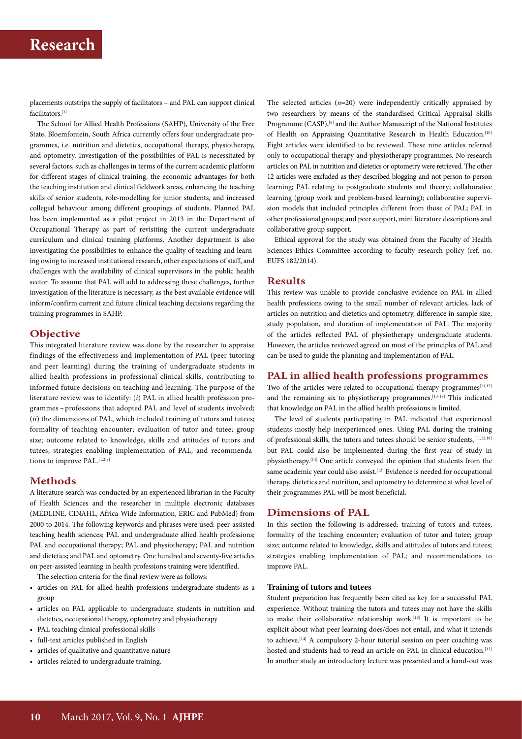# **Research**

placements outstrips the supply of facilitators – and PAL can support clinical facilitators.[3]

The School for Allied Health Professions (SAHP), University of the Free State, Bloemfontein, South Africa currently offers four undergraduate programmes, i.e. nutrition and dietetics, occupational therapy, physiotherapy, and optometry. Investigation of the possibilities of PAL is necessitated by several factors, such as challenges in terms of the current academic platform for different stages of clinical training, the economic advantages for both the teaching institution and clinical fieldwork areas, enhancing the teaching skills of senior students, role-modelling for junior students, and increased collegial behaviour among different groupings of students. Planned PAL has been implemented as a pilot project in 2013 in the Department of Occupational Therapy as part of revisiting the current undergraduate curriculum and clinical training platforms. Another department is also investigating the possibilities to enhance the quality of teaching and learning owing to increased institutional research, other expectations of staff, and challenges with the availability of clinical supervisors in the public health sector. To assume that PAL will add to addressing these challenges, further investigation of the literature is necessary, as the best available evidence will inform/confirm current and future clinical teaching decisions regarding the training programmes in SAHP.

# **Objective**

This integrated literature review was done by the researcher to appraise findings of the effectiveness and implementation of PAL (peer tutoring and peer learning) during the training of undergraduate students in allied health professions in professional clinical skills, contributing to informed future decisions on teaching and learning. The purpose of the literature review was to identify: (*i*) PAL in allied health profession programmes – professions that adopted PAL and level of students involved; (*ii*) the dimensions of PAL, which included training of tutors and tutees; formality of teaching encounter; evaluation of tutor and tutee; group size; outcome related to knowledge, skills and attitudes of tutors and tutees; strategies enabling implementation of PAL; and recommendations to improve PAL.<sup>[1,2,8]</sup>

### **Methods**

A literature search was conducted by an experienced librarian in the Faculty of Health Sciences and the researcher in multiple electronic databases (MEDLINE, CINAHL, Africa-Wide Information, ERIC and PubMed) from 2000 to 2014. The following keywords and phrases were used: peer-assisted teaching health sciences; PAL and undergraduate allied health professions; PAL and occupational therapy; PAL and physiotherapy; PAL and nutrition and dietetics; and PAL and optometry. One hundred and seventy-five articles on peer-assisted learning in health professions training were identified.

The selection criteria for the final review were as follows:

- articles on PAL for allied health professions undergraduate students as a group
- articles on PAL applicable to undergraduate students in nutrition and dietetics, occupational therapy, optometry and physiotherapy
- PAL teaching clinical professional skills
- full-text articles published in English
- articles of qualitative and quantitative nature
- articles related to undergraduate training.

The selected articles (*n*=20) were independently critically appraised by two researchers by means of the standardised Critical Appraisal Skills Programme (CASP),<sup>[9]</sup> and the Author Manuscript of the National Institutes of Health on Appraising Quantitative Research in Health Education*.* [10] Eight articles were identified to be reviewed. These nine articles referred only to occupational therapy and physiotherapy programmes. No research articles on PAL in nutrition and dietetics or optometry were retrieved. The other 12 articles were excluded as they described blogging and not person-to-person learning; PAL relating to postgraduate students and theory; collaborative learning (group work and problem-based learning); collaborative supervision models that included principles different from those of PAL; PAL in other professional groups; and peer support, mini literature descriptions and collaborative group support.

Ethical approval for the study was obtained from the Faculty of Health Sciences Ethics Committee according to faculty research policy (ref. no. EUFS 182/2014).

## **Results**

This review was unable to provide conclusive evidence on PAL in allied health professions owing to the small number of relevant articles, lack of articles on nutrition and dietetics and optometry, difference in sample size, study population, and duration of implementation of PAL. The majority of the articles reflected PAL of physiotherapy undergraduate students. However, the articles reviewed agreed on most of the principles of PAL and can be used to guide the planning and implementation of PAL.

#### **PAL in allied health professions programmes**

Two of the articles were related to occupational therapy programmes $[11,12]$ and the remaining six to physiotherapy programmes.<sup>[13-18]</sup> This indicated that knowledge on PAL in the allied health professions is limited.

The level of students participating in PAL indicated that experienced students mostly help inexperienced ones. Using PAL during the training of professional skills, the tutors and tutees should be senior students,[11,12,18] but PAL could also be implemented during the first year of study in physiotherapy.[14] One article conveyed the opinion that students from the same academic year could also assist.<sup>[12]</sup> Evidence is needed for occupational therapy, dietetics and nutrition, and optometry to determine at what level of their programmes PAL will be most beneficial.

## **Dimensions of PAL**

In this section the following is addressed: training of tutors and tutees; formality of the teaching encounter; evaluation of tutor and tutee; group size; outcome related to knowledge, skills and attitudes of tutors and tutees; strategies enabling implementation of PAL; and recommendations to improve PAL.

## **Training of tutors and tutees**

Student preparation has frequently been cited as key for a successful PAL experience. Without training the tutors and tutees may not have the skills to make their collaborative relationship work.<sup>[13]</sup> It is important to be explicit about what peer learning does/does not entail, and what it intends to achieve.[14] A compulsory 2-hour tutorial session on peer coaching was hosted and students had to read an article on PAL in clinical education.<sup>[13]</sup> In another study an introductory lecture was presented and a hand-out was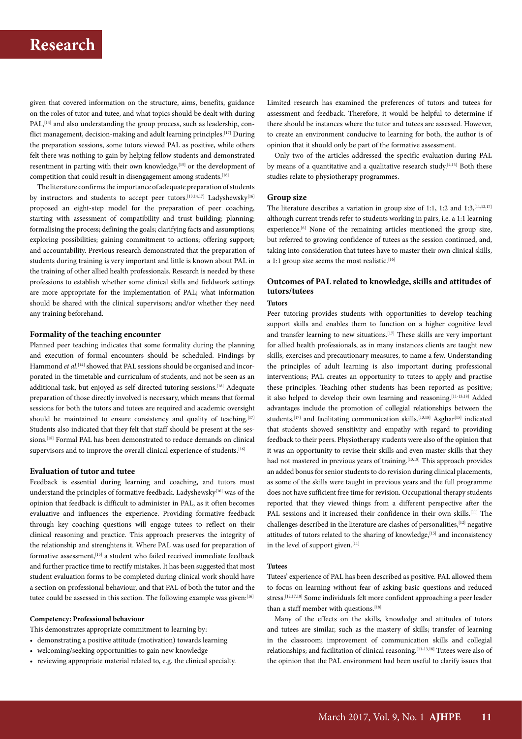# **Research**

given that covered information on the structure, aims, benefits, guidance on the roles of tutor and tutee, and what topics should be dealt with during PAL,<sup>[14]</sup> and also understanding the group process, such as leadership, conflict management, decision-making and adult learning principles.<sup>[17]</sup> During the preparation sessions, some tutors viewed PAL as positive, while others felt there was nothing to gain by helping fellow students and demonstrated resentment in parting with their own knowledge, <br/>  ${}^{[15]}$  or the development of competition that could result in disengagement among students.<sup>[16]</sup>

The literature confirms the importance of adequate preparation of students by instructors and students to accept peer tutors.<sup>[13,14,17]</sup> Ladyshewsky<sup>[16]</sup> proposed an eight-step model for the preparation of peer coaching, starting with assessment of compatibility and trust building; planning; formalising the process; defining the goals; clarifying facts and assumptions; exploring possibilities; gaining commitment to actions; offering support; and accountability. Previous research demonstrated that the preparation of students during training is very important and little is known about PAL in the training of other allied health professionals. Research is needed by these professions to establish whether some clinical skills and fieldwork settings are more appropriate for the implementation of PAL; what information should be shared with the clinical supervisors; and/or whether they need any training beforehand.

#### **Formality of the teaching encounter**

Planned peer teaching indicates that some formality during the planning and execution of formal encounters should be scheduled. Findings by Hammond *et al*. [14] showed that PAL sessions should be organised and incorporated in the timetable and curriculum of students, and not be seen as an additional task, but enjoyed as self-directed tutoring sessions.<sup>[18]</sup> Adequate preparation of those directly involved is necessary, which means that formal sessions for both the tutors and tutees are required and academic oversight should be maintained to ensure consistency and quality of teaching.<sup>[17]</sup> Students also indicated that they felt that staff should be present at the sessions.<sup>[18]</sup> Formal PAL has been demonstrated to reduce demands on clinical supervisors and to improve the overall clinical experience of students.<sup>[16]</sup>

#### **Evaluation of tutor and tutee**

Feedback is essential during learning and coaching, and tutors must understand the principles of formative feedback. Ladyshewsky<sup>[16]</sup> was of the opinion that feedback is difficult to administer in PAL, as it often becomes evaluative and influences the experience. Providing formative feedback through key coaching questions will engage tutees to reflect on their clinical reasoning and practice. This approach preserves the integrity of the relationship and strenghtens it. Where PAL was used for preparation of formative assessment,<sup>[15]</sup> a student who failed received immediate feedback and further practice time to rectify mistakes. It has been suggested that most student evaluation forms to be completed during clinical work should have a section on professional behaviour, and that PAL of both the tutor and the tutee could be assessed in this section. The following example was given:[16]

### **Competency: Professional behaviour**

This demonstrates appropriate commitment to learning by:

- demonstrating a positive attitude (motivation) towards learning
- welcoming/seeking opportunities to gain new knowledge
- reviewing appropriate material related to, e.g. the clinical specialty.

Limited research has examined the preferences of tutors and tutees for assessment and feedback. Therefore, it would be helpful to determine if there should be instances where the tutor and tutees are assessed. However, to create an environment conducive to learning for both, the author is of opinion that it should only be part of the formative assessment.

Only two of the articles addressed the specific evaluation during PAL by means of a quantitative and a qualitative research study.<sup>[4,13]</sup> Both these studies relate to physiotherapy programmes.

#### **Group size**

The literature describes a variation in group size of 1:1, 1:2 and 1:3, [11,12,17] although current trends refer to students working in pairs, i.e. a 1:1 learning experience.[6] None of the remaining articles mentioned the group size, but referred to growing confidence of tutees as the session continued, and, taking into consideration that tutees have to master their own clinical skills, a 1:1 group size seems the most realistic.<sup>[16]</sup>

# **Outcomes of PAL related to knowledge, skills and attitudes of tutors/tutees**

**Tutors** 

Peer tutoring provides students with opportunities to develop teaching support skills and enables them to function on a higher cognitive level and transfer learning to new situations.<sup>[17]</sup> These skills are very important for allied health professionals, as in many instances clients are taught new skills, exercises and precautionary measures, to name a few. Understanding the principles of adult learning is also important during professional interventions; PAL creates an opportunity to tutees to apply and practise these principles. Teaching other students has been reported as positive; it also helped to develop their own learning and reasoning.<sup>[11-13,18]</sup> Added advantages include the promotion of collegial relationships between the students, $[17]$  and facilitating communication skills.<sup>[13,18]</sup> Asghar<sup>[15]</sup> indicated that students showed sensitivity and empathy with regard to providing feedback to their peers. Physiotherapy students were also of the opinion that it was an opportunity to revise their skills and even master skills that they had not mastered in previous years of training.<sup>[13,18]</sup> This approach provides an added bonus for senior students to do revision during clinical placements, as some of the skills were taught in previous years and the full programme does not have sufficient free time for revision. Occupational therapy students reported that they viewed things from a different perspective after the PAL sessions and it increased their confidence in their own skills.<sup>[11]</sup> The challenges described in the literature are clashes of personalities,[12] negative attitudes of tutors related to the sharing of knowledge,[15] and inconsistency in the level of support given.<sup>[11]</sup>

#### **Tutees**

Tutees' experience of PAL has been described as positive. PAL allowed them to focus on learning without fear of asking basic questions and reduced stress.<sup>[12,17,18]</sup> Some individuals felt more confident approaching a peer leader than a staff member with questions.<sup>[18]</sup>

Many of the effects on the skills, knowledge and attitudes of tutors and tutees are similar, such as the mastery of skills; transfer of learning in the classroom; improvement of communication skills and collegial relationships; and facilitation of clinical reasoning.[11-13,18] Tutees were also of the opinion that the PAL environment had been useful to clarify issues that